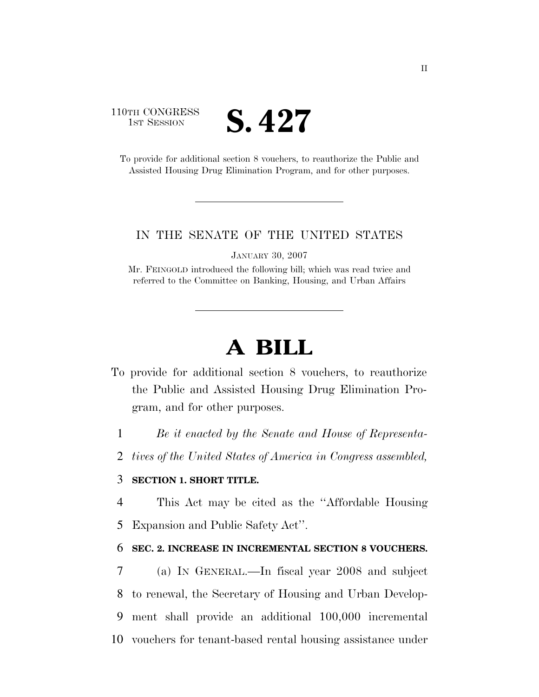### 110TH CONGRESS **IST SESSION S. 427**

To provide for additional section 8 vouchers, to reauthorize the Public and Assisted Housing Drug Elimination Program, and for other purposes.

#### IN THE SENATE OF THE UNITED STATES

JANUARY 30, 2007

Mr. FEINGOLD introduced the following bill; which was read twice and referred to the Committee on Banking, Housing, and Urban Affairs

# **A BILL**

- To provide for additional section 8 vouchers, to reauthorize the Public and Assisted Housing Drug Elimination Program, and for other purposes.
	- 1 *Be it enacted by the Senate and House of Representa-*
	- 2 *tives of the United States of America in Congress assembled,*

#### 3 **SECTION 1. SHORT TITLE.**

- 4 This Act may be cited as the ''Affordable Housing
- 5 Expansion and Public Safety Act''.

#### 6 **SEC. 2. INCREASE IN INCREMENTAL SECTION 8 VOUCHERS.**

 (a) IN GENERAL.—In fiscal year 2008 and subject to renewal, the Secretary of Housing and Urban Develop- ment shall provide an additional 100,000 incremental vouchers for tenant-based rental housing assistance under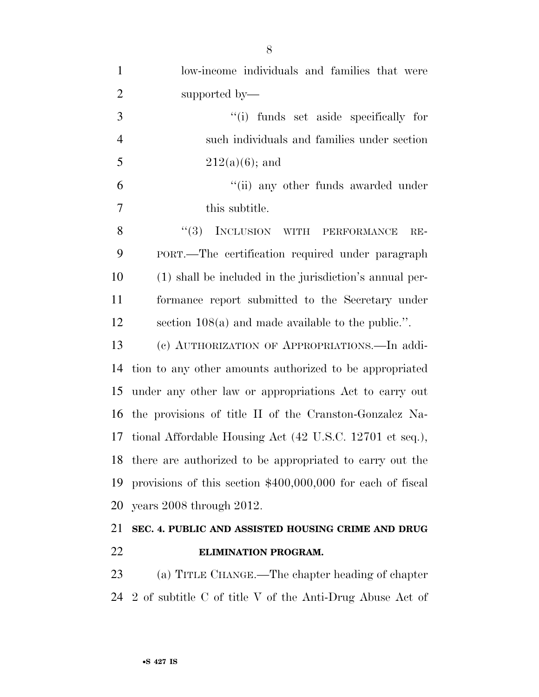| $\mathbf{1}$   | low-income individuals and families that were                |
|----------------|--------------------------------------------------------------|
| $\overline{2}$ | supported by—                                                |
| 3              | "(i) funds set aside specifically for                        |
| $\overline{4}$ | such individuals and families under section                  |
| 5              | $212(a)(6)$ ; and                                            |
| 6              | "(ii) any other funds awarded under                          |
| 7              | this subtitle.                                               |
| 8              | (3)<br>INCLUSION WITH PERFORMANCE<br>$RE-$                   |
| 9              | PORT.—The certification required under paragraph             |
| 10             | (1) shall be included in the jurisdiction's annual per-      |
| 11             | formance report submitted to the Secretary under             |
| 12             | section $108(a)$ and made available to the public.".         |
| 13             | (c) AUTHORIZATION OF APPROPRIATIONS.—In addi-                |
| 14             | tion to any other amounts authorized to be appropriated      |
| 15             | under any other law or appropriations Act to carry out       |
| 16             | the provisions of title II of the Cranston-Gonzalez Na-      |
| 17             | tional Affordable Housing Act (42 U.S.C. 12701 et seq.),     |
|                | 18 there are authorized to be appropriated to carry out the  |
| 19             | provisions of this section $$400,000,000$ for each of fiscal |
| 20             | years 2008 through 2012.                                     |
|                | 21 SEC. 4. PUBLIC AND ASSISTED HOUSING CRIME AND DRUG        |

### **ELIMINATION PROGRAM.**

 (a) TITLE CHANGE.—The chapter heading of chapter 2 of subtitle C of title V of the Anti-Drug Abuse Act of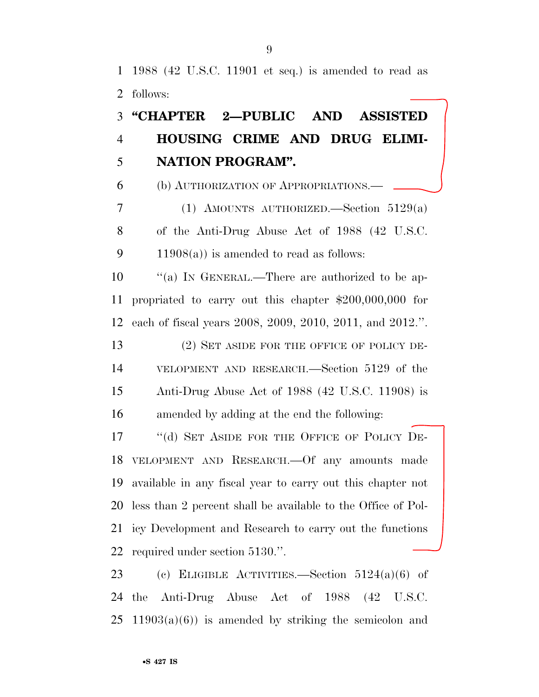1988 (42 U.S.C. 11901 et seq.) is amended to read as follows:

## **''CHAPTER 2—PUBLIC AND ASSISTED HOUSING CRIME AND DRUG ELIMI-NATION PROGRAM''.**

(b) AUTHORIZATION OF APPROPRIATIONS.—

 (1) AMOUNTS AUTHORIZED.—Section 5129(a) of the Anti-Drug Abuse Act of 1988 (42 U.S.C. 9 11908(a)) is amended to read as follows:

10  $\cdot$  "(a) In GENERAL.—There are authorized to be ap- propriated to carry out this chapter \$200,000,000 for each of fiscal years 2008, 2009, 2010, 2011, and 2012.''.

13 (2) SET ASIDE FOR THE OFFICE OF POLICY DE- VELOPMENT AND RESEARCH.—Section 5129 of the Anti-Drug Abuse Act of 1988 (42 U.S.C. 11908) is amended by adding at the end the following:

17 "(d) SET ASIDE FOR THE OFFICE OF POLICY DE- VELOPMENT AND RESEARCH.—Of any amounts made available in any fiscal year to carry out this chapter not less than 2 percent shall be available to the Office of Pol- icy Development and Research to carry out the functions required under section 5130.''.

 (c) ELIGIBLE ACTIVITIES.—Section 5124(a)(6) of the Anti-Drug Abuse Act of 1988 (42 U.S.C.  $25 \quad 11903(a)(6)$  is amended by striking the semicolon and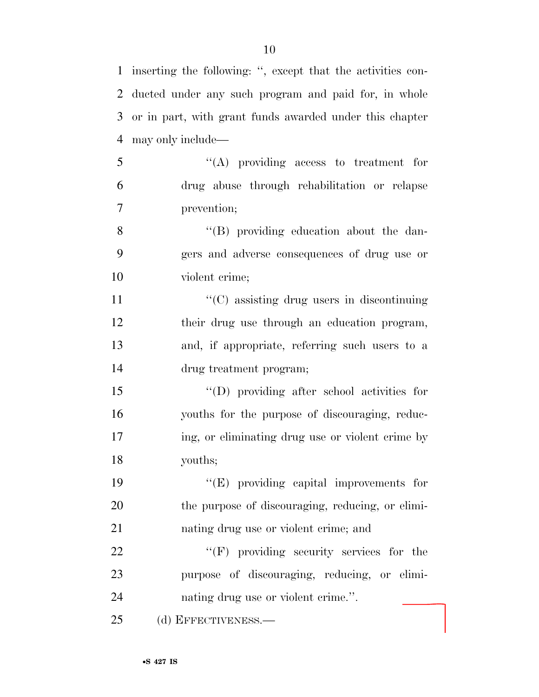inserting the following: '', except that the activities con- ducted under any such program and paid for, in whole or in part, with grant funds awarded under this chapter may only include—

 ''(A) providing access to treatment for drug abuse through rehabilitation or relapse prevention;

 ''(B) providing education about the dan- gers and adverse consequences of drug use or violent crime;

 $\cdot$  (C) assisting drug users in discontinuing their drug use through an education program, and, if appropriate, referring such users to a drug treatment program;

 ''(D) providing after school activities for youths for the purpose of discouraging, reduc- ing, or eliminating drug use or violent crime by youths;

 ''(E) providing capital improvements for the purpose of discouraging, reducing, or elimi-nating drug use or violent crime; and

22 "'(F) providing security services for the purpose of discouraging, reducing, or elimi-nating drug use or violent crime.''.

(d) EFFECTIVENESS.—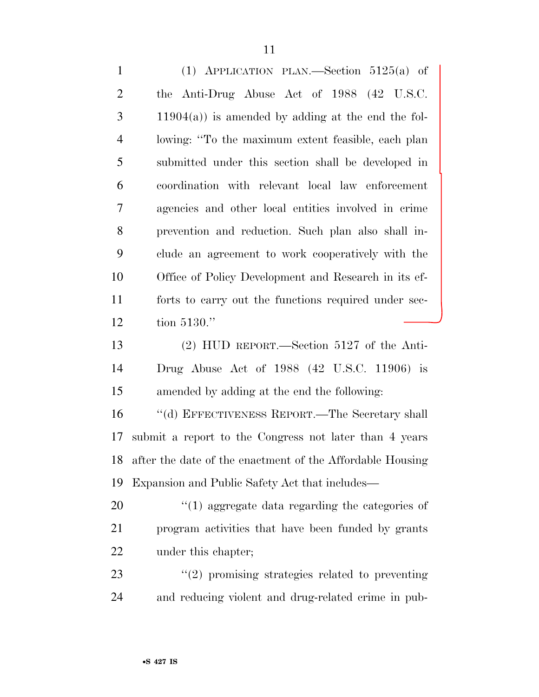(1) APPLICATION PLAN.—Section 5125(a) of the Anti-Drug Abuse Act of 1988 (42 U.S.C. 11904(a)) is amended by adding at the end the fol- lowing: ''To the maximum extent feasible, each plan submitted under this section shall be developed in coordination with relevant local law enforcement agencies and other local entities involved in crime prevention and reduction. Such plan also shall in- clude an agreement to work cooperatively with the Office of Policy Development and Research in its ef- forts to carry out the functions required under sec-tion 5130.''

 (2) HUD REPORT.—Section 5127 of the Anti- Drug Abuse Act of 1988 (42 U.S.C. 11906) is amended by adding at the end the following:

 ''(d) EFFECTIVENESS REPORT.—The Secretary shall submit a report to the Congress not later than 4 years after the date of the enactment of the Affordable Housing Expansion and Public Safety Act that includes—

20  $\frac{1}{20}$  (1) aggregate data regarding the categories of program activities that have been funded by grants under this chapter;

23 "(2) promising strategies related to preventing and reducing violent and drug-related crime in pub-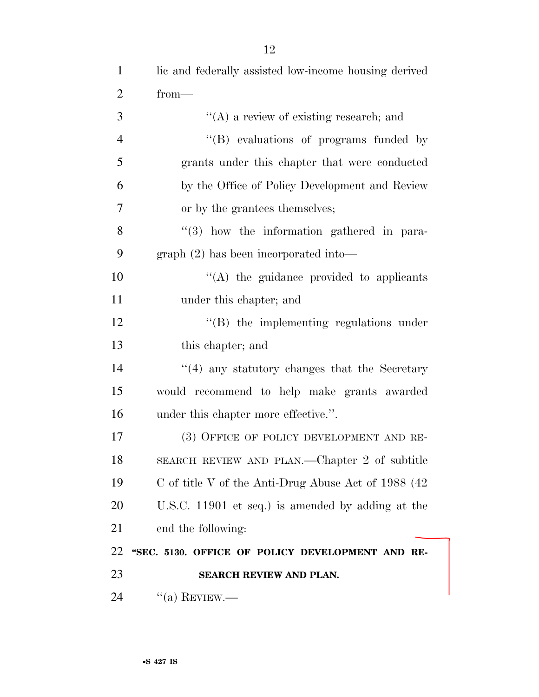| 24             | $\lq($ a) REVIEW.—                                    |
|----------------|-------------------------------------------------------|
| 23             | SEARCH REVIEW AND PLAN.                               |
| 22             | "SEC. 5130. OFFICE OF POLICY DEVELOPMENT AND RE-      |
| 21             | end the following:                                    |
| 20             | U.S.C. 11901 et seq.) is amended by adding at the     |
| 19             | C of title V of the Anti-Drug Abuse Act of $1988(42)$ |
| 18             | SEARCH REVIEW AND PLAN.—Chapter 2 of subtitle         |
| 17             | (3) OFFICE OF POLICY DEVELOPMENT AND RE-              |
| 16             | under this chapter more effective.".                  |
| 15             | would recommend to help make grants awarded           |
| 14             | $\cdot$ (4) any statutory changes that the Secretary  |
| 13             | this chapter; and                                     |
| 12             | $\lq\lq$ the implementing regulations under           |
| 11             | under this chapter; and                               |
| 10             | "(A) the guidance provided to applicants              |
| 9              | $graph (2)$ has been incorporated into-               |
| 8              | $(3)$ how the information gathered in para-           |
| 7              | or by the grantees themselves;                        |
| 6              | by the Office of Policy Development and Review        |
| 5              | grants under this chapter that were conducted         |
| $\overline{4}$ | "(B) evaluations of programs funded by                |
| 3              | $\lq\lq$ a review of existing research; and           |
| $\overline{2}$ | $from-$                                               |
| $\mathbf{1}$   | lic and federally assisted low-income housing derived |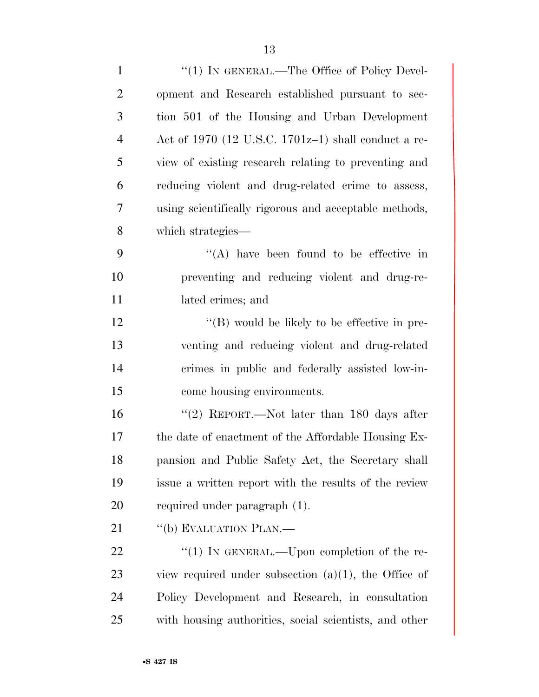| $\mathbf{1}$   | "(1) IN GENERAL.—The Office of Policy Devel-            |
|----------------|---------------------------------------------------------|
| $\overline{2}$ | opment and Research established pursuant to sec-        |
| 3              | tion 501 of the Housing and Urban Development           |
| $\overline{4}$ | Act of 1970 (12 U.S.C. 1701 $z$ –1) shall conduct a re- |
| 5              | view of existing research relating to preventing and    |
| 6              | reducing violent and drug-related crime to assess,      |
| 7              | using scientifically rigorous and acceptable methods,   |
| 8              | which strategies—                                       |
| 9              | $\lq\lq$ have been found to be effective in             |
| 10             | preventing and reducing violent and drug-re-            |
| 11             | lated crimes; and                                       |
| 12             | $\lq\lq (B)$ would be likely to be effective in pre-    |
| 13             | venting and reducing violent and drug-related           |
| 14             | crimes in public and federally assisted low-in-         |
| 15             | come housing environments.                              |
| 16             | "(2) REPORT.—Not later than $180$ days after            |
| 17             | the date of enactment of the Affordable Housing Ex-     |
| 18             | pansion and Public Safety Act, the Secretary shall      |
| 19             | issue a written report with the results of the review   |
| 20             | required under paragraph (1).                           |
| 21             | "(b) EVALUATION PLAN.—                                  |
| 22             | "(1) IN GENERAL.—Upon completion of the re-             |
| 23             | view required under subsection $(a)(1)$ , the Office of |
| 24             | Policy Development and Research, in consultation        |
| 25             | with housing authorities, social scientists, and other  |